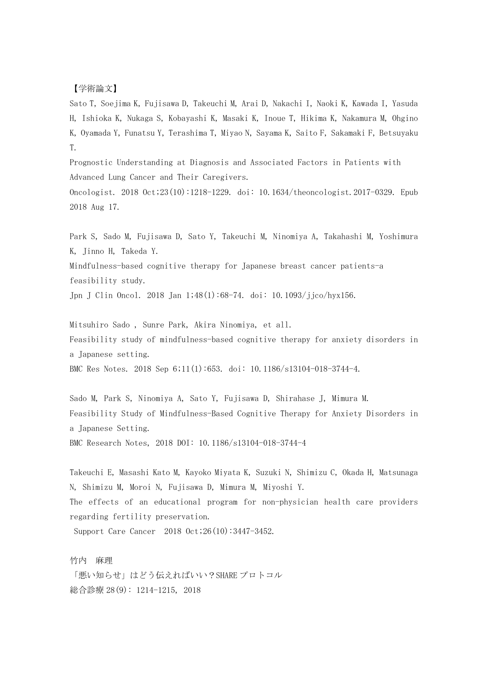## 【学術論文】

Sato T, Soejima K, Fujisawa D, Takeuchi M, Arai D, Nakachi I, Naoki K, Kawada I, Yasuda H, Ishioka K, Nukaga S, Kobayashi K, Masaki K, Inoue T, Hikima K, Nakamura M, Ohgino K, Oyamada Y, Funatsu Y, Terashima T, Miyao N, Sayama K, Saito F, Sakamaki F, Betsuyaku T.

Prognostic Understanding at Diagnosis and Associated Factors in Patients with Advanced Lung Cancer and Their Caregivers.

Oncologist. 2018 Oct;23(10):1218-1229. doi: 10.1634/theoncologist.2017-0329. Epub 2018 Aug 17.

Park S, Sado M, Fujisawa D, Sato Y, Takeuchi M, Ninomiya A, Takahashi M, Yoshimura K, Jinno H, Takeda Y.

Mindfulness-based cognitive therapy for Japanese breast cancer patients-a feasibility study.

Jpn J Clin Oncol. 2018 Jan 1;48(1):68-74. doi: 10.1093/jjco/hyx156.

Mitsuhiro Sado , Sunre Park, Akira Ninomiya, et all. Feasibility study of mindfulness-based cognitive therapy for anxiety disorders in a Japanese setting.

BMC Res Notes. 2018 Sep 6;11(1):653. doi: 10.1186/s13104-018-3744-4.

Sado M, Park S, Ninomiya A, Sato Y, Fujisawa D, Shirahase J, Mimura M. Feasibility Study of Mindfulness-Based Cognitive Therapy for Anxiety Disorders in a Japanese Setting. BMC Research Notes, 2018 DOI: 10.1186/s13104-018-3744-4

Takeuchi E, Masashi Kato M, Kayoko Miyata K, Suzuki N, Shimizu C, Okada H, Matsunaga N, Shimizu M, Moroi N, Fujisawa D, Mimura M, Miyoshi Y. The effects of an educational program for non-physician health care providers regarding fertility preservation.

Support Care Cancer 2018 Oct;26(10):3447-3452.

竹内 麻理

「悪い知らせ」はどう伝えればいい?SHARE プロトコル 総合診療 28(9): 1214-1215, 2018